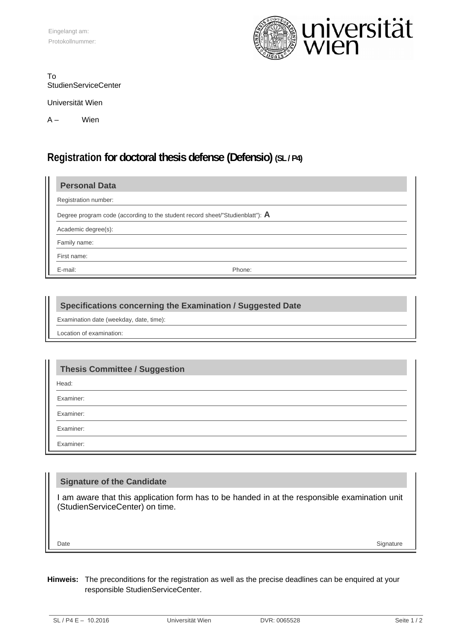

#### To StudienServiceCenter

Universität Wien

A – Wien

# **Registration for doctoral thesis defense (Defensio) (SL / P4)**

| <b>Personal Data</b>                                                                    |  |
|-----------------------------------------------------------------------------------------|--|
| Registration number:                                                                    |  |
| Degree program code (according to the student record sheet/"Studienblatt"): $\mathsf A$ |  |
| Academic degree(s):                                                                     |  |
| Family name:                                                                            |  |
| First name:                                                                             |  |
| E-mail:<br>Phone:                                                                       |  |

### **Specifications concerning the Examination / Suggested Date**

Examination date (weekday, date, time):

Location of examination:

## **Thesis Committee / Suggestion**

Head:

Examiner:

Examiner:

Examiner:

Examiner:

### **Signature of the Candidate**

I am aware that this application form has to be handed in at the responsible examination unit (StudienServiceCenter) on time.

Date Signature Signature (Section 2014) and the section of the Signature of the Signature of the Signature of the Signature of the Signature of the Signature of the Signature of the Signature of the Signature of the Signat

#### **Hinweis:** The preconditions for the registration as well as the precise deadlines can be enquired at your responsible StudienServiceCenter.